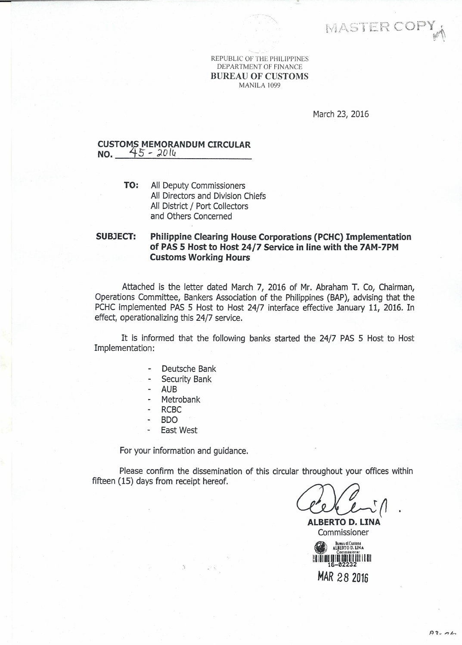MASTER COPY

REPUBLIC OF THE PHILIPPINES DEPARTMENT OF FINANCE BUREAU OF CUSTOMS MANILA 1099

March 23, 2016

## **CUSTOM\$ MEMORANDUM CIRCULAR NO.** ~5 - *).014*

**TO:** All Deputy Commissioners All Directors and Division Chiefs All District / Port Collectors and Others Concerned

## **SUBJECT: Philippine Clearing House Corporations (PCHC) Implementation of PAS 5 Host to Host 24/7 Service in line with the 7AM-7PM Customs Working Hours**

Attached is the letter dated March 7, 2016 of Mr. Abraham T. Co, Chairman, Operations Committee, Bankers Association of the Philippines (BAP), advising that the PCHC implemented PAS 5 Host to Host 24/7 interface effective January 11, 2016. In *effect,* operationalizing this 24/7 service.

It is informed that the following banks started the 24/7 PAS 5 Host to Host Implementation:

- Deutsche Bank u.
- Security Bank
- AUB
- Metrobank
- RCBC
- BDO
- East West

For your information and guidance.

Please confirm the dissemination of this circular throughout your offices within fifteen (15) days from receipt hereof.

 $\left($ |

**ALBERTO D. UNA** Commissioner

Bureau of Customs<br>ALBERTO D. LINA **Commission** I!IIIIIIIIIIIIIIIIIIII 11I1I 1111 16-02232 *MAR* **28 <sup>2016</sup>**